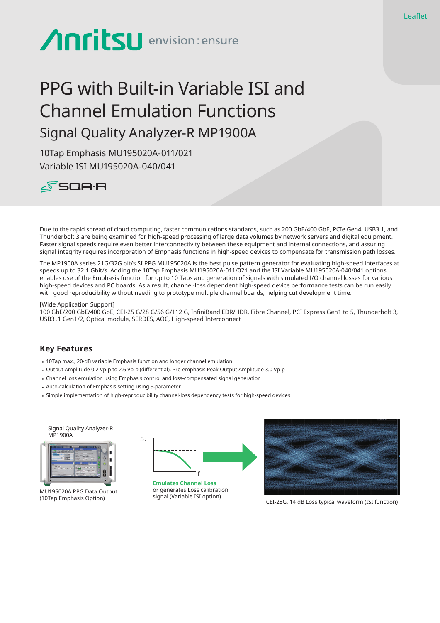# **Anritsu** envision: ensure

# PPG with Built-in Variable ISI and Channel Emulation Functions Signal Quality Analyzer-R MP1900A

10Tap Emphasis MU195020A-011/021 Variable ISI MU195020A-040/041



Due to the rapid spread of cloud computing, faster communications standards, such as 200 GbE/400 GbE, PCIe Gen4, USB3.1, and Thunderbolt 3 are being examined for high-speed processing of large data volumes by network servers and digital equipment. Faster signal speeds require even better interconnectivity between these equipment and internal connections, and assuring signal integrity requires incorporation of Emphasis functions in high-speed devices to compensate for transmission path losses.

The MP1900A series 21G/32G bit/s SI PPG MU195020A is the best pulse pattern generator for evaluating high-speed interfaces at speeds up to 32.1 Gbit/s. Adding the 10Tap Emphasis MU195020A-011/021 and the ISI Variable MU195020A-040/041 options enables use of the Emphasis function for up to 10 Taps and generation of signals with simulated I/O channel losses for various high-speed devices and PC boards. As a result, channel-loss dependent high-speed device performance tests can be run easily with good reproducibility without needing to prototype multiple channel boards, helping cut development time.

#### [Wide Application Support]

100 GbE/200 GbE/400 GbE, CEI-25 G/28 G/56 G/112 G, InfiniBand EDR/HDR, Fibre Channel, PCI Express Gen1 to 5, Thunderbolt 3, USB3 .1 Gen1/2, Optical module, SERDES, AOC, High-speed Interconnect

#### **Key Features**

- 10Tap max., 20-dB variable Emphasis function and longer channel emulation
- • Output Amplitude 0.2 Vp-p to 2.6 Vp-p (differential), Pre-emphasis Peak Output Amplitude 3.0 Vp-p
- • Channel loss emulation using Emphasis control and loss-compensated signal generation
- • Auto-calculation of Emphasis setting using S-parameter
- • Simple implementation of high-reproducibility channel-loss dependency tests for high-speed devices

Signal Quality Analyzer-R **MP1900A** 



MU195020A PPG Data Output (10Tap Emphasis Option)



or generates Loss calibration signal (Variable ISI option)



CEI-28G, 14 dB Loss typical waveform (ISI function)